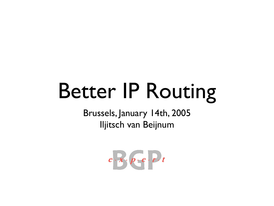### Better IP Routing

Brussels, January 14th, 2005 Iljitsch van Beijnum

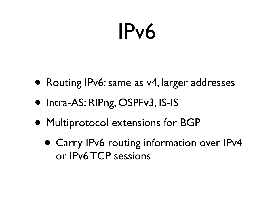#### IPv6

- Routing IPv6: same as v4, larger addresses
- Intra-AS: RIPng, OSPFv3, IS-IS
- Multiprotocol extensions for BGP
	- Carry IPv6 routing information over IPv4 or IPv6 TCP sessions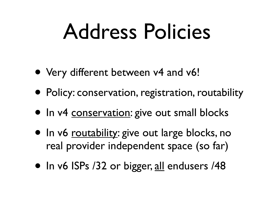#### Address Policies

- Very different between v4 and v6!
- Policy: conservation, registration, routability
- In v4 conservation: give out small blocks
- In v6 routability: give out large blocks, no real provider independent space (so far)
- In v6 ISPs /32 or bigger, all endusers /48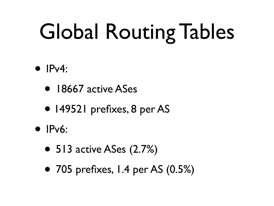# Global Routing Tables

- $\bullet$  IPv4:
	- 18667 active ASes
	- 149521 prefixes, 8 per AS
- **IPv6:** 
	- 513 active ASes (2.7%)
	- 705 prefixes, 1.4 per AS (0.5%)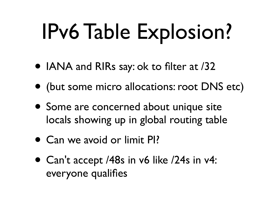### IPv6 Table Explosion?

- IANA and RIRs say: ok to filter at /32
- (but some micro allocations: root DNS etc)
- Some are concerned about unique site locals showing up in global routing table
- Can we avoid or limit PI?
- Can't accept /48s in v6 like /24s in v4: everyone qualifies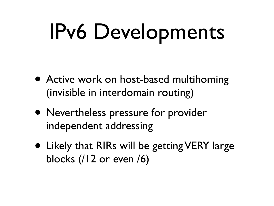## IPv6 Developments

- Active work on host-based multihoming (invisible in interdomain routing)
- Nevertheless pressure for provider independent addressing
- Likely that RIRs will be getting VERY large blocks (/12 or even /6)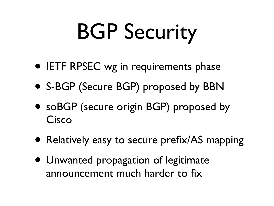# BGP Security

- IETF RPSEC wg in requirements phase
- S-BGP (Secure BGP) proposed by BBN
- soBGP (secure origin BGP) proposed by Cisco
- Relatively easy to secure prefix/AS mapping
- Unwanted propagation of legitimate announcement much harder to fix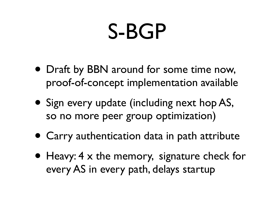#### S-BGP

- Draft by BBN around for some time now, proof-of-concept implementation available
- Sign every update (including next hop AS, so no more peer group optimization)
- Carry authentication data in path attribute
- Heavy: 4 x the memory, signature check for every AS in every path, delays startup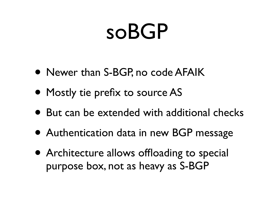#### soBGP

- Newer than S-BGP, no code AFAIK
- Mostly tie prefix to source AS
- But can be extended with additional checks
- Authentication data in new BGP message
- Architecture allows offloading to special purpose box, not as heavy as S-BGP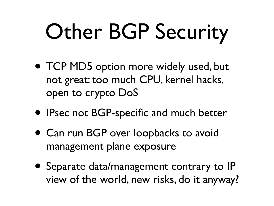# Other BGP Security

- TCP MD5 option more widely used, but not great: too much CPU, kernel hacks, open to crypto DoS
- IPsec not BGP-specific and much better
- Can run BGP over loopbacks to avoid management plane exposure
- Separate data/management contrary to IP view of the world, new risks, do it anyway?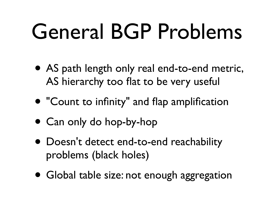### General BGP Problems

- AS path length only real end-to-end metric, AS hierarchy too flat to be very useful
- "Count to infinity" and flap amplification
- Can only do hop-by-hop
- Doesn't detect end-to-end reachability problems (black holes)
- Global table size: not enough aggregation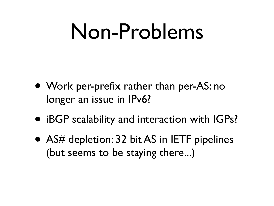#### Non-Problems

- Work per-prefix rather than per-AS: no longer an issue in IPv6?
- iBGP scalability and interaction with IGPs?
- AS# depletion: 32 bit AS in IETF pipelines (but seems to be staying there...)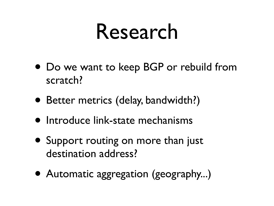#### Research

- Do we want to keep BGP or rebuild from scratch?
- Better metrics (delay, bandwidth?)
- Introduce link-state mechanisms
- Support routing on more than just destination address?
- Automatic aggregation (geography...)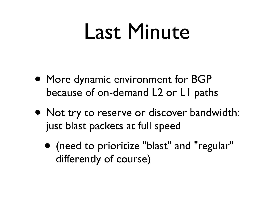#### Last Minute

- More dynamic environment for BGP because of on-demand L2 or L1 paths
- Not try to reserve or discover bandwidth: just blast packets at full speed
	- (need to prioritize "blast" and "regular" differently of course)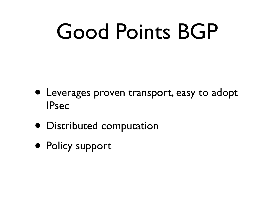### Good Points BGP

- Leverages proven transport, easy to adopt IPsec
- Distributed computation
- Policy support